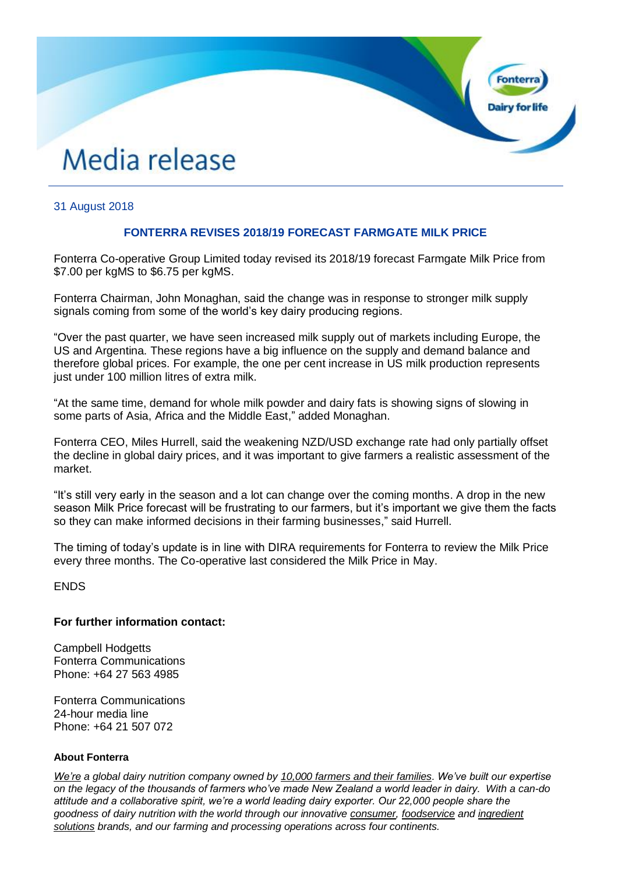# Media release

## 31 August 2018

## **FONTERRA REVISES 2018/19 FORECAST FARMGATE MILK PRICE**

**Fonter** 

Fonterra Co-operative Group Limited today revised its 2018/19 forecast Farmgate Milk Price from \$7.00 per kgMS to \$6.75 per kgMS.

Fonterra Chairman, John Monaghan, said the change was in response to stronger milk supply signals coming from some of the world's key dairy producing regions.

"Over the past quarter, we have seen increased milk supply out of markets including Europe, the US and Argentina. These regions have a big influence on the supply and demand balance and therefore global prices. For example, the one per cent increase in US milk production represents just under 100 million litres of extra milk.

"At the same time, demand for whole milk powder and dairy fats is showing signs of slowing in some parts of Asia, Africa and the Middle East," added Monaghan.

Fonterra CEO, Miles Hurrell, said the weakening NZD/USD exchange rate had only partially offset the decline in global dairy prices, and it was important to give farmers a realistic assessment of the market.

"It's still very early in the season and a lot can change over the coming months. A drop in the new season Milk Price forecast will be frustrating to our farmers, but it's important we give them the facts so they can make informed decisions in their farming businesses," said Hurrell.

The timing of today's update is in line with DIRA requirements for Fonterra to review the Milk Price every three months. The Co-operative last considered the Milk Price in May.

ENDS

#### **For further information contact:**

Campbell Hodgetts Fonterra Communications Phone: +64 27 563 4985

Fonterra Communications 24-hour media line Phone: +64 21 507 072

#### **About Fonterra**

*[We're](https://www.fonterra.com/nz/en.html) a global dairy nutrition company owned by [10,000 farmers and their families.](https://www.fonterra.com/nz/en/about-us/meet-the-farmers.html) We've built our expertise on the legacy of the thousands of farmers who've made New Zealand a world leader in dairy. With a can-do attitude and a collaborative spirit, we're a world leading dairy exporter. Our 22,000 people share the goodness of dairy nutrition with the world through our innovative [consumer,](https://www.fonterra.com/nz/en/our-brands.html) [foodservice](https://www.anchorfoodprofessionals.com/global/en.html) and [ingredient](https://www.nzmp.com/)  [solutions](https://www.nzmp.com/) brands, and our farming and processing operations across four continents.*